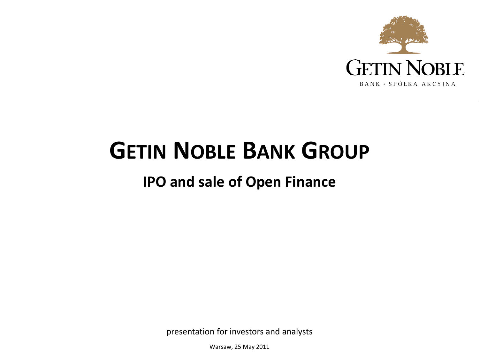

## **GETIN NOBLE BANK GROUP**

## **IPO and sale of Open Finance**

presentation for investors and analysts

Warsaw, 25 May 2011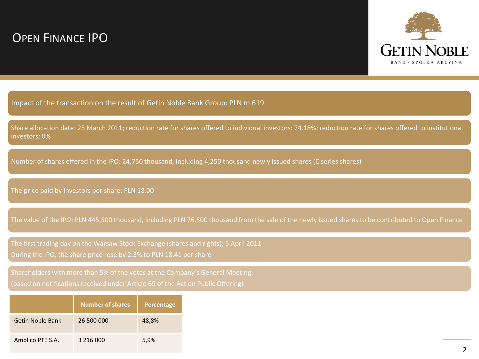## OPEN FINANCE IPO



Impact of the transaction on the result of Getin Noble Bank Group: PLN m 619

Share allocation date: 25 March 2011; reduction rate for shares offered to individual investors: 74.18%; reduction rate for shares offered to institutional investors: 0%

Number of shares offered in the IPO: 24,750 thousand, including 4,250 thousand newly issued shares (C series shares)

The price paid by investors per share: PLN 18.00

The value of the IPO: PLN 445,500 thousand, including PLN 76,500 thousand from the sale of the newly issued shares to be contributed to Open Finance

The first trading day on the Warsaw Stock Exchange (shares and rights); 5 April 2011 During the IPO, the share price rose by 2.3% to PLN 18.41 per share

|                         | <b>Number</b> of shares | Percentage |
|-------------------------|-------------------------|------------|
| <b>Getin Noble Bank</b> | 26 500 000              | 48,8%      |
| Amplico PTE S.A.        | 3 216 000               | 5,9%       |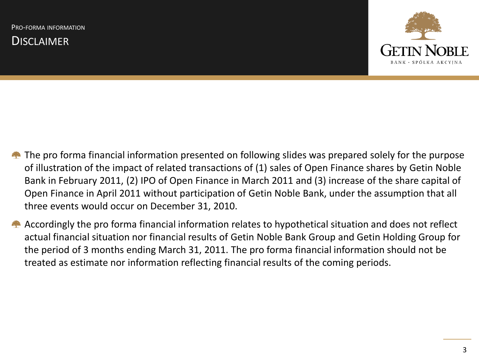**DISCLAIMER** 



- **The pro forma financial information presented on following slides was prepared solely for the purpose** of illustration of the impact of related transactions of (1) sales of Open Finance shares by Getin Noble Bank in February 2011, (2) IPO of Open Finance in March 2011 and (3) increase of the share capital of Open Finance in April 2011 without participation of Getin Noble Bank, under the assumption that all three events would occur on December 31, 2010.
- Accordingly the pro forma financial information relates to hypothetical situation and does not reflect actual financial situation nor financial results of Getin Noble Bank Group and Getin Holding Group for the period of 3 months ending March 31, 2011. The pro forma financial information should not be treated as estimate nor information reflecting financial results of the coming periods.